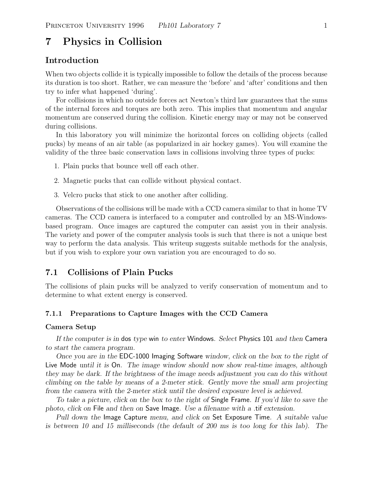# **7 Physics in Collision**

## **Introduction**

When two objects collide it is typically impossible to follow the details of the process because its duration is too short. Rather, we can measure the 'before' and 'after' conditions and then try to infer what happened 'during'.

For collisions in which no outside forces act Newton's third law guarantees that the sums of the internal forces and torques are both zero. This implies that momentum and angular momentum are conserved during the collision. Kinetic energy may or may not be conserved during collisions.

In this laboratory you will minimize the horizontal forces on colliding objects (called pucks) by means of an air table (as popularized in air hockey games). You will examine the validity of the three basic conservation laws in collisions involving three types of pucks:

1. Plain pucks that bounce well off each other.

2. Magnetic pucks that can collide without physical contact.

3. Velcro pucks that stick to one another after colliding.

Observations of the collisions will be made with a CCD camera similar to that in home TV cameras. The CCD camera is interfaced to a computer and controlled by an MS-Windowsbased program. Once images are captured the computer can assist you in their analysis. The variety and power of the computer analysis tools is such that there is not a unique best way to perform the data analysis. This writeup suggests suitable methods for the analysis, but if you wish to explore your own variation you are encouraged to do so.

## **7.1 Collisions of Plain Pucks**

The collisions of plain pucks will be analyzed to verify conservation of momentum and to determine to what extent energy is conserved.

#### **7.1.1 Preparations to Capture Images with the CCD Camera**

#### **Camera Setup**

*If the computer is in* dos *type* win *to enter* Windows*. Select* Physics 101 *and then* Camera *to start the camera program.*

*Once you are in the* EDC-1000 Imaging Software *window, click on the box to the right of* Live Mode *until it is* On*. The image window should now show real-time images, although they may be dark. If the brightness of the image needs adjustment you can do this without climbing on the table by means of a 2-meter stick. Gently move the small arm projecting from the camera with the 2-meter stick until the desired exposure level is achieved.*

*To take a picture, click on the box to the right of* Single Frame*. If you'd like to save the photo, click on* File *and then on* Save Image*. Use a filename with a* .tif *extension.*

*Pull down the* Image Capture *menu, and click on* Set Exposure Time*. A suitable value is between 10 and 15 milliseconds (the default of 200 ms is too long for this lab). The*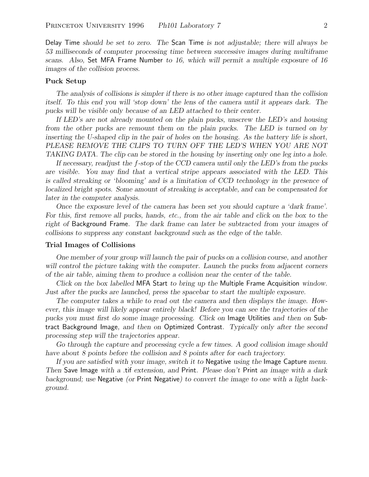Delay Time *should be set to zero. The* Scan Time *is not adjustable; there will always be 53 milliseconds of computer processing time between successive images during multiframe scans. Also,* Set MFA Frame Number *to 16, which will permit a multiple exposure of 16 images of the collision process.*

#### **Puck Setup**

*The analysis of collisions is simpler if there is no other image captured than the collision itself. To this end you will 'stop down' the lens of the camera until it appears dark. The pucks will be visible only because of an LED attached to their center.*

*If LED's are not already mounted on the plain pucks, unscrew the LED's and housing from the other pucks are remount them on the plain pucks. The LED is turned on by inserting the U-shaped clip in the pair of holes on the housing. As the battery life is short, PLEASE REMOVE THE CLIPS TO TURN OFF THE LED'S WHEN YOU ARE NOT TAKING DATA. The clip can be stored in the housing by inserting only one leg into a hole.*

*If necessary, readjust the* f*-stop of the CCD camera until only the LED's from the pucks are visible. You may find that a vertical stripe appears associated with the LED. This is called streaking or 'blooming' and is a limitation of CCD technology in the presence of localized bright spots. Some amount of streaking is acceptable, and can be compensated for later in the computer analysis.*

*Once the exposure level of the camera has been set you should capture a 'dark frame'. For this, first remove all pucks, hands, etc., from the air table and click on the box to the right of* Background Frame*. The dark frame can later be subtracted from your images of collisions to suppress any constant background such as the edge of the table.*

#### **Trial Images of Collisions**

*One member of your group will launch the pair of pucks on a collision course, and another will control the picture taking with the computer. Launch the pucks from adjacent corners of the air table, aiming them to produce a collision near the center of the table.*

*Click on the box labelled* MFA Start *to bring up the* Multiple Frame Acquisition *window. Just after the pucks are launched, press the spacebar to start the multiple exposure.*

*The computer takes a while to read out the camera and then displays the image. However, this image will likely appear entirely black! Before you can see the trajectories of the pucks you must first do some image processing. Click on* Image Utilities *and then on* Subtract Background Image*, and then on* Optimized Contrast*. Typically only after the second processing step will the trajectories appear.*

Go through the capture and processing cycle a few times. A good collision image should *have about 8 points before the collision and 8 points after for each trajectory.*

*If you are satisfied with your image, switch it to* Negative *using the* Image Capture *menu. Then* Save Image *with a* .tif *extension, and* Print*. Please don't* Print *an image with a dark background; use* Negative *(or* Print Negative*) to convert the image to one with a light background.*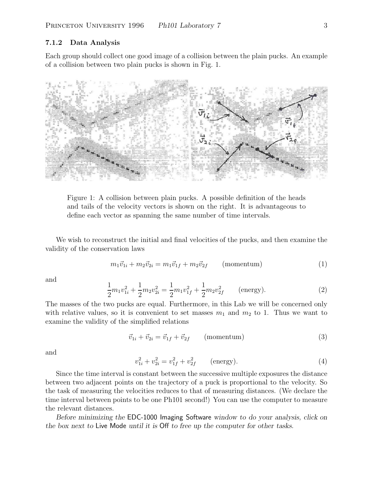## **7.1.2 Data Analysis**

Each group should collect one good image of a collision between the plain pucks. An example of a collision between two plain pucks is shown in Fig. 1.



Figure 1: A collision between plain pucks. A possible definition of the heads and tails of the velocity vectors is shown on the right. It is advantageous to define each vector as spanning the same number of time intervals.

We wish to reconstruct the initial and final velocities of the pucks, and then examine the validity of the conservation laws

$$
m_1 \vec{v}_{1i} + m_2 \vec{v}_{2i} = m_1 \vec{v}_{1f} + m_2 \vec{v}_{2f} \qquad \text{(momentum)} \tag{1}
$$

and

$$
\frac{1}{2}m_1v_{1i}^2 + \frac{1}{2}m_2v_{2i}^2 = \frac{1}{2}m_1v_{1f}^2 + \frac{1}{2}m_2v_{2f}^2 \qquad \text{(energy)}.
$$
 (2)

The masses of the two pucks are equal. Furthermore, in this Lab we will be concerned only with relative values, so it is convenient to set masses  $m_1$  and  $m_2$  to 1. Thus we want to examine the validity of the simplified relations

$$
\vec{v}_{1i} + \vec{v}_{2i} = \vec{v}_{1f} + \vec{v}_{2f} \qquad \text{(momentum)} \tag{3}
$$

and

$$
v_{1i}^2 + v_{2i}^2 = v_{1f}^2 + v_{2f}^2 \qquad \text{(energy)}.
$$
 (4)

Since the time interval is constant between the successive multiple exposures the distance between two adjacent points on the trajectory of a puck is proportional to the velocity. So the task of measuring the velocities reduces to that of measuring distances. (We declare the time interval between points to be one Ph101 second!) You can use the computer to measure the relevant distances.

*Before minimizing the* EDC-1000 Imaging Software *window to do your analysis, click on the box next to* Live Mode *until it is* Off *to free up the computer for other tasks.*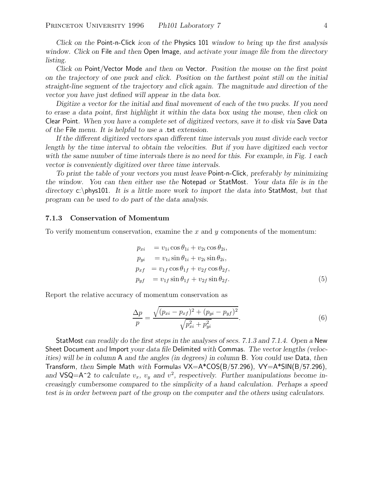*Click on the* Point-n-Click *icon of the* Physics 101 *window to bring up the first analysis window. Click on* File *and then* Open Image*, and activate your image file from the directory listing.*

*Click on* Point/Vector Mode *and then on* Vector*. Position the mouse on the first point on the trajectory of one puck and click. Position on the farthest point still on the initial straight-line segment of the trajectory and click again. The magnitude and direction of the vector you have just defined will appear in the data box.*

*Digitize a vector for the initial and final movement of each of the two pucks. If you need to erase a data point, first highlight it within the data box using the mouse, then click on* Clear Point*. When you have a complete set of digitized vectors, save it to disk via* Save Data *of the* File *menu. It is helpful to use a* .txt *extension.*

*If the different digitized vectors span different time intervals you must divide each vector length by the time interval to obtain the velocities. But if you have digitized each vector with the same number of time intervals there is no need for this. For example, in Fig. 1 each vector is conveniently digitized over three time intervals.*

*To print the table of your vectors you must leave* Point-n-Click*, preferably by minimizing the window. You can then either use the* Notepad *or* StatMost*. Your data file is in the directory* c:\phys101*. It is a little more work to import the data into* StatMost*, but that program can be used to do part of the data analysis.*

#### **7.1.3 Conservation of Momentum**

To verify momentum conservation, examine the  $x$  and  $y$  components of the momentum:

$$
p_{xi} = v_{1i} \cos \theta_{1i} + v_{2i} \cos \theta_{2i},
$$
  
\n
$$
p_{yi} = v_{1i} \sin \theta_{1i} + v_{2i} \sin \theta_{2i},
$$
  
\n
$$
p_{xf} = v_{1f} \cos \theta_{1f} + v_{2f} \cos \theta_{2f},
$$
  
\n
$$
p_{yf} = v_{1f} \sin \theta_{1f} + v_{2f} \sin \theta_{2f}.
$$
\n(5)

Report the relative accuracy of momentum conservation as

$$
\frac{\Delta p}{p} = \frac{\sqrt{(p_{xi} - p_{xf})^2 + (p_{yi} - p_{yf})^2}}{\sqrt{p_{xi}^2 + p_{yi}^2}}.
$$
\n(6)

StatMost *can readily do the first steps in the analyses of secs. 7.1.3 and 7.1.4. Open a* New Sheet Document *and* Import *your data file* Delimited *with* Commas*. The vector lengths (velocities) will be in column* A *and the angles (in degrees) in column* B*. You could use* Data*, then* Transform*, then* Simple Math *with* Formula*s* VX=A\*COS(B/57.296)*,* VY=A\*SIN(B/57.296)*,* and VSQ=A<sup> $\sim$ </sup>2 *to calculate*  $v_x$ *,*  $v_y$  *and*  $v^2$ *, respectively. Further manipulations become increasingly cumbersome compared to the simplicity of a hand calculation. Perhaps a speed test is in order between part of the group on the computer and the others using calculators.*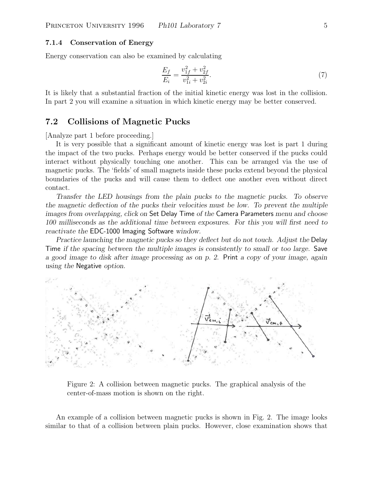## **7.1.4 Conservation of Energy**

Energy conservation can also be examined by calculating

$$
\frac{E_f}{E_i} = \frac{v_{1f}^2 + v_{2f}^2}{v_{1i}^2 + v_{2i}^2}.\tag{7}
$$

It is likely that a substantial fraction of the initial kinetic energy was lost in the collision. In part 2 you will examine a situation in which kinetic energy may be better conserved.

## **7.2 Collisions of Magnetic Pucks**

[Analyze part 1 before proceeding.]

It is very possible that a significant amount of kinetic energy was lost is part 1 during the impact of the two pucks. Perhaps energy would be better conserved if the pucks could interact without physically touching one another. This can be arranged via the use of magnetic pucks. The 'fields' of small magnets inside these pucks extend beyond the physical boundaries of the pucks and will cause them to deflect one another even without direct contact.

*Transfer the LED housings from the plain pucks to the magnetic pucks. To observe the magnetic deflection of the pucks their velocities must be low. To prevent the multiple images from overlapping, click on* Set Delay Time *of the* Camera Parameters *menu and choose 100 milliseconds as the additional time between exposures. For this you will first need to reactivate the* EDC-1000 Imaging Software *window.*

*Practice launching the magnetic pucks so they deflect but do not touch. Adjust the* Delay Time *if the spacing between the multiple images is consistently to small or too large.* Save *a good image to disk after image processing as on p. 2.* Print *a copy of your image, again using the* Negative *option.*



Figure 2: A collision between magnetic pucks. The graphical analysis of the center-of-mass motion is shown on the right.

An example of a collision between magnetic pucks is shown in Fig. 2. The image looks similar to that of a collision between plain pucks. However, close examination shows that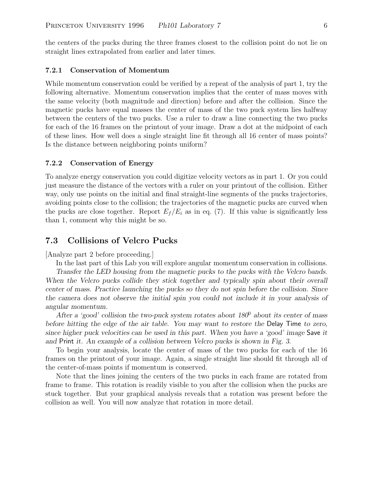the centers of the pucks during the three frames closest to the collision point do not lie on straight lines extrapolated from earlier and later times.

#### **7.2.1 Conservation of Momentum**

While momentum conservation could be verified by a repeat of the analysis of part 1, try the following alternative. Momentum conservation implies that the center of mass moves with the same velocity (both magnitude and direction) before and after the collision. Since the magnetic pucks have equal masses the center of mass of the two puck system lies halfway between the centers of the two pucks. Use a ruler to draw a line connecting the two pucks for each of the 16 frames on the printout of your image. Draw a dot at the midpoint of each of these lines. How well does a single straight line fit through all 16 center of mass points? Is the distance between neighboring points uniform?

#### **7.2.2 Conservation of Energy**

To analyze energy conservation you could digitize velocity vectors as in part 1. Or you could just measure the distance of the vectors with a ruler on your printout of the collision. Either way, only use points on the initial and final straight-line segments of the pucks trajectories, avoiding points close to the collision; the trajectories of the magnetic pucks are curved when the pucks are close together. Report  $E_f/E_i$  as in eq. (7). If this value is significantly less than 1, comment why this might be so.

## **7.3 Collisions of Velcro Pucks**

[Analyze part 2 before proceeding.]

In the last part of this Lab you will explore angular momentum conservation in collisions.

*Transfer the LED housing from the magnetic pucks to the pucks with the Velcro bands. When the Velcro pucks collide they stick together and typically spin about their overall center of mass. Practice launching the pucks so they do not spin before the collision. Since the camera does not observe the initial spin you could not include it in your analysis of angular momentum.*

*After a 'good' collision the two-puck system rotates about 180*<sup>0</sup> *about its center of mass before hitting the edge of the air table. You may want to restore the* Delay Time *to zero, since higher puck velocities can be used in this part. When you have a 'good' image* Save *it and* Print *it. An example of a collision between Velcro pucks is shown in Fig. 3.*

To begin your analysis, locate the center of mass of the two pucks for each of the 16 frames on the printout of your image. Again, a single straight line should fit through all of the center-of-mass points if momentum is conserved.

Note that the lines joining the centers of the two pucks in each frame are rotated from frame to frame. This rotation is readily visible to you after the collision when the pucks are stuck together. But your graphical analysis reveals that a rotation was present before the collision as well. You will now analyze that rotation in more detail.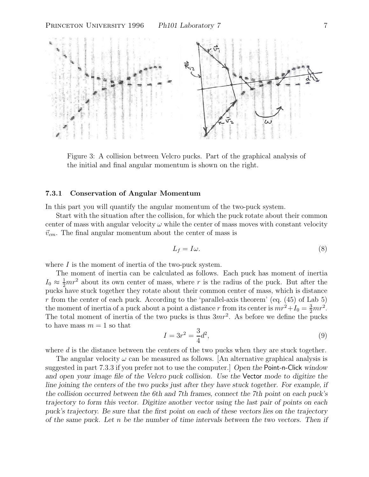

Figure 3: A collision between Velcro pucks. Part of the graphical analysis of the initial and final angular momentum is shown on the right.

#### **7.3.1 Conservation of Angular Momentum**

In this part you will quantify the angular momentum of the two-puck system.

Start with the situation after the collision, for which the puck rotate about their common center of mass with angular velocity  $\omega$  while the center of mass moves with constant velocity  $\vec{v}_{cm}$ . The final angular momentum about the center of mass is

$$
L_f = I\omega.\t\t(8)
$$

where  $I$  is the moment of inertia of the two-puck system.

The moment of inertia can be calculated as follows. Each puck has moment of inertia  $I_0 \approx \frac{1}{2}mr^2$  about its own center of mass, where r is the radius of the puck. But after the pucks have stuck together they rotate about their common center of mass, which is distance r from the center of each puck. According to the 'parallel-axis theorem' (eq.  $(45)$  of Lab 5) the moment of inertia of a puck about a point a distance r from its center is  $mr^2 + I_0 = \frac{3}{2}mr^2$ . The total moment of inertia of the two pucks is thus  $3mr^2$ . As before we define the pucks to have mass  $m = 1$  so that

$$
I = 3r^2 = \frac{3}{4}d^2,
$$
\n(9)

where d is the distance between the centers of the two pucks when they are stuck together.

The angular velocity  $\omega$  can be measured as follows. [An alternative graphical analysis is suggested in part 7.3.3 if you prefer not to use the computer.] *Open the* Point-n-Click *window and open your image file of the Velcro puck collision. Use the* Vector *mode to digitize the line joining the centers of the two pucks just after they have stuck together. For example, if the collision occurred between the 6th and 7th frames, connect the 7th point on each puck's trajectory to form this vector. Digitize another vector using the last pair of points on each puck's trajectory. Be sure that the first point on each of these vectors lies on the trajectory of the same puck. Let* n *be the number of time intervals between the two vectors. Then if*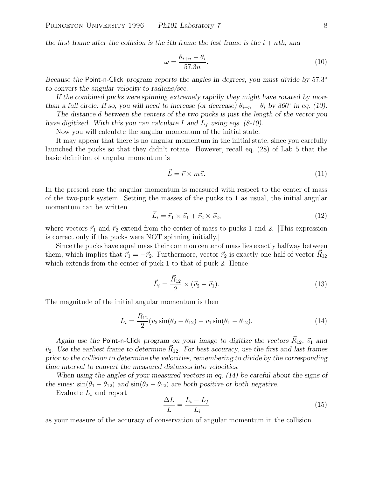*the first frame after the collision is the <i>i*th frame the last frame is the  $i + nth$ , and

$$
\omega = \frac{\theta_{i+n} - \theta_i}{57.3n}.\tag{10}
$$

*Because the* Point-n-Click *program reports the angles in degrees, you must divide by* 57.3◦ *to convert the angular velocity to radians/sec.*

*If the combined pucks were spinning extremely rapidly they might have rotated by more than a full circle. If so, you will need to increase (or decrease)*  $\theta_{i+n} - \theta_i$  *by 360*° *in eq. (10).* 

*The distance* d *between the centers of the two pucks is just the length of the vector you have digitized. With this you can calculate* I *and* L*<sup>f</sup> using eqs. (8-10).*

Now you will calculate the angular momentum of the initial state.

It may appear that there is no angular momentum in the initial state, since you carefully launched the pucks so that they didn't rotate. However, recall eq. (28) of Lab 5 that the basic definition of angular momentum is

$$
\vec{L} = \vec{r} \times m\vec{v}.\tag{11}
$$

In the present case the angular momentum is measured with respect to the center of mass of the two-puck system. Setting the masses of the pucks to 1 as usual, the initial angular momentum can be written

$$
\vec{L}_i = \vec{r}_1 \times \vec{v}_1 + \vec{r}_2 \times \vec{v}_2, \tag{12}
$$

where vectors  $\vec{r}_1$  and  $\vec{r}_2$  extend from the center of mass to pucks 1 and 2. [This expression is correct only if the pucks were NOT spinning initially.]

Since the pucks have equal mass their common center of mass lies exactly halfway between them, which implies that  $\vec{r}_1 = -\vec{r}_2$ . Furthermore, vector  $\vec{r}_2$  is exactly one half of vector  $\vec{R}_{12}$ which extends from the center of puck 1 to that of puck 2. Hence

$$
\vec{L}_i = \frac{\vec{R}_{12}}{2} \times (\vec{v}_2 - \vec{v}_1).
$$
 (13)

The magnitude of the initial angular momentum is then

$$
L_i = \frac{R_{12}}{2} (v_2 \sin(\theta_2 - \theta_{12}) - v_1 \sin(\theta_1 - \theta_{12}). \tag{14}
$$

*Again use the* Point-n-Click *program on your image to digitize the vectors*  $\vec{R}_{12}$ ,  $\vec{v}_1$  *and*  $\vec{v}_2$ . Use the earliest frame to determine  $\vec{R}_{12}$ . For best accuracy, use the first and last frames *prior to the collision to determine the velocities, remembering to divide by the corresponding time interval to convert the measured distances into velocities.*

*When using the angles of your measured vectors in eq. (14) be careful about the signs of the sines:*  $sin(\theta_1 - \theta_{12})$  *and*  $sin(\theta_2 - \theta_{12})$  *are both positive or both negative.* 

Evaluate L*<sup>i</sup>* and report

$$
\frac{\Delta L}{L} = \frac{L_i - L_f}{L_i} \tag{15}
$$

as your measure of the accuracy of conservation of angular momentum in the collision.